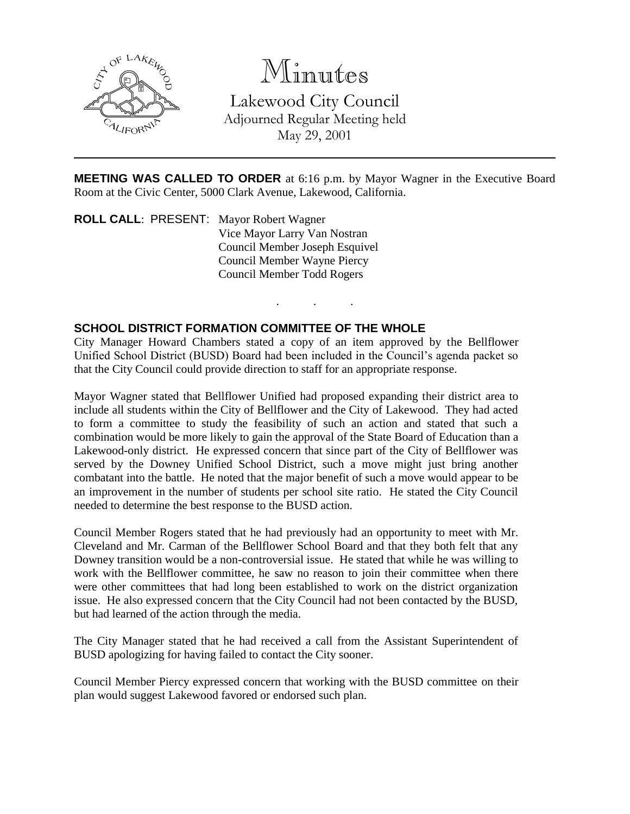

# Minutes

Lakewood City Council Adjourned Regular Meeting held May 29, 2001

**MEETING WAS CALLED TO ORDER** at 6:16 p.m. by Mayor Wagner in the Executive Board Room at the Civic Center, 5000 Clark Avenue, Lakewood, California.

. . .

**ROLL CALL**: PRESENT: Mayor Robert Wagner Vice Mayor Larry Van Nostran Council Member Joseph Esquivel Council Member Wayne Piercy Council Member Todd Rogers

## **SCHOOL DISTRICT FORMATION COMMITTEE OF THE WHOLE**

City Manager Howard Chambers stated a copy of an item approved by the Bellflower Unified School District (BUSD) Board had been included in the Council's agenda packet so that the City Council could provide direction to staff for an appropriate response.

Mayor Wagner stated that Bellflower Unified had proposed expanding their district area to include all students within the City of Bellflower and the City of Lakewood. They had acted to form a committee to study the feasibility of such an action and stated that such a combination would be more likely to gain the approval of the State Board of Education than a Lakewood-only district. He expressed concern that since part of the City of Bellflower was served by the Downey Unified School District, such a move might just bring another combatant into the battle. He noted that the major benefit of such a move would appear to be an improvement in the number of students per school site ratio. He stated the City Council needed to determine the best response to the BUSD action.

Council Member Rogers stated that he had previously had an opportunity to meet with Mr. Cleveland and Mr. Carman of the Bellflower School Board and that they both felt that any Downey transition would be a non-controversial issue. He stated that while he was willing to work with the Bellflower committee, he saw no reason to join their committee when there were other committees that had long been established to work on the district organization issue. He also expressed concern that the City Council had not been contacted by the BUSD, but had learned of the action through the media.

The City Manager stated that he had received a call from the Assistant Superintendent of BUSD apologizing for having failed to contact the City sooner.

Council Member Piercy expressed concern that working with the BUSD committee on their plan would suggest Lakewood favored or endorsed such plan.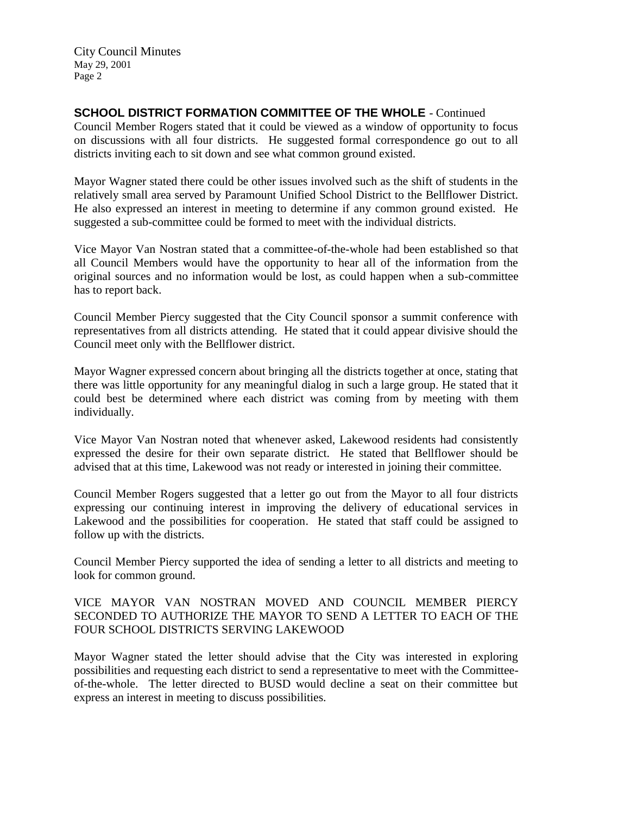City Council Minutes May 29, 2001 Page 2

## **SCHOOL DISTRICT FORMATION COMMITTEE OF THE WHOLE** - Continued

Council Member Rogers stated that it could be viewed as a window of opportunity to focus on discussions with all four districts. He suggested formal correspondence go out to all districts inviting each to sit down and see what common ground existed.

Mayor Wagner stated there could be other issues involved such as the shift of students in the relatively small area served by Paramount Unified School District to the Bellflower District. He also expressed an interest in meeting to determine if any common ground existed. He suggested a sub-committee could be formed to meet with the individual districts.

Vice Mayor Van Nostran stated that a committee-of-the-whole had been established so that all Council Members would have the opportunity to hear all of the information from the original sources and no information would be lost, as could happen when a sub-committee has to report back.

Council Member Piercy suggested that the City Council sponsor a summit conference with representatives from all districts attending. He stated that it could appear divisive should the Council meet only with the Bellflower district.

Mayor Wagner expressed concern about bringing all the districts together at once, stating that there was little opportunity for any meaningful dialog in such a large group. He stated that it could best be determined where each district was coming from by meeting with them individually.

Vice Mayor Van Nostran noted that whenever asked, Lakewood residents had consistently expressed the desire for their own separate district. He stated that Bellflower should be advised that at this time, Lakewood was not ready or interested in joining their committee.

Council Member Rogers suggested that a letter go out from the Mayor to all four districts expressing our continuing interest in improving the delivery of educational services in Lakewood and the possibilities for cooperation. He stated that staff could be assigned to follow up with the districts.

Council Member Piercy supported the idea of sending a letter to all districts and meeting to look for common ground.

## VICE MAYOR VAN NOSTRAN MOVED AND COUNCIL MEMBER PIERCY SECONDED TO AUTHORIZE THE MAYOR TO SEND A LETTER TO EACH OF THE FOUR SCHOOL DISTRICTS SERVING LAKEWOOD

Mayor Wagner stated the letter should advise that the City was interested in exploring possibilities and requesting each district to send a representative to meet with the Committeeof-the-whole. The letter directed to BUSD would decline a seat on their committee but express an interest in meeting to discuss possibilities.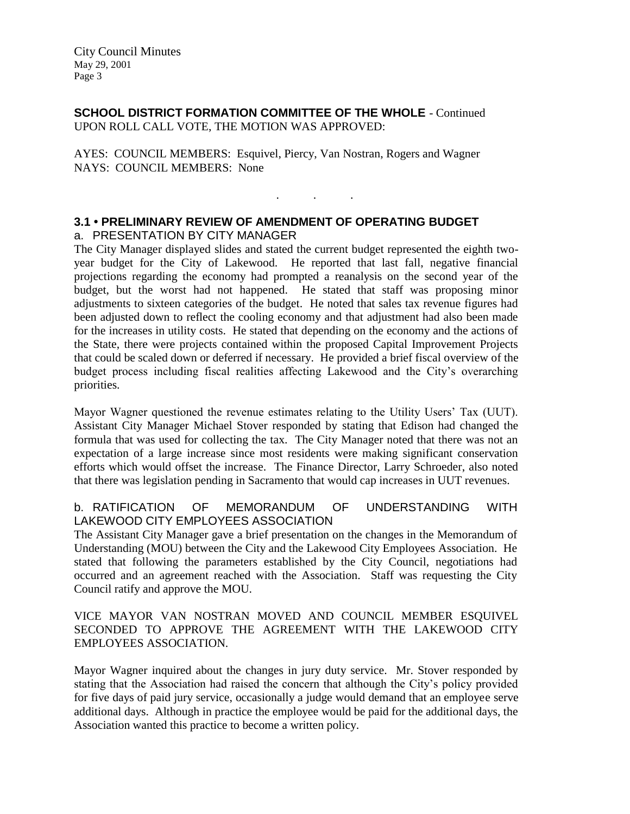**SCHOOL DISTRICT FORMATION COMMITTEE OF THE WHOLE** - Continued UPON ROLL CALL VOTE, THE MOTION WAS APPROVED:

AYES: COUNCIL MEMBERS: Esquivel, Piercy, Van Nostran, Rogers and Wagner NAYS: COUNCIL MEMBERS: None

#### **3.1 • PRELIMINARY REVIEW OF AMENDMENT OF OPERATING BUDGET** a. PRESENTATION BY CITY MANAGER

The City Manager displayed slides and stated the current budget represented the eighth twoyear budget for the City of Lakewood. He reported that last fall, negative financial projections regarding the economy had prompted a reanalysis on the second year of the budget, but the worst had not happened. He stated that staff was proposing minor adjustments to sixteen categories of the budget. He noted that sales tax revenue figures had been adjusted down to reflect the cooling economy and that adjustment had also been made for the increases in utility costs. He stated that depending on the economy and the actions of the State, there were projects contained within the proposed Capital Improvement Projects that could be scaled down or deferred if necessary. He provided a brief fiscal overview of the budget process including fiscal realities affecting Lakewood and the City's overarching priorities.

. . .

Mayor Wagner questioned the revenue estimates relating to the Utility Users' Tax (UUT). Assistant City Manager Michael Stover responded by stating that Edison had changed the formula that was used for collecting the tax. The City Manager noted that there was not an expectation of a large increase since most residents were making significant conservation efforts which would offset the increase. The Finance Director, Larry Schroeder, also noted that there was legislation pending in Sacramento that would cap increases in UUT revenues.

#### b. RATIFICATION OF MEMORANDUM OF UNDERSTANDING WITH LAKEWOOD CITY EMPLOYEES ASSOCIATION

The Assistant City Manager gave a brief presentation on the changes in the Memorandum of Understanding (MOU) between the City and the Lakewood City Employees Association. He stated that following the parameters established by the City Council, negotiations had occurred and an agreement reached with the Association. Staff was requesting the City Council ratify and approve the MOU.

#### VICE MAYOR VAN NOSTRAN MOVED AND COUNCIL MEMBER ESQUIVEL SECONDED TO APPROVE THE AGREEMENT WITH THE LAKEWOOD CITY EMPLOYEES ASSOCIATION.

Mayor Wagner inquired about the changes in jury duty service. Mr. Stover responded by stating that the Association had raised the concern that although the City's policy provided for five days of paid jury service, occasionally a judge would demand that an employee serve additional days. Although in practice the employee would be paid for the additional days, the Association wanted this practice to become a written policy.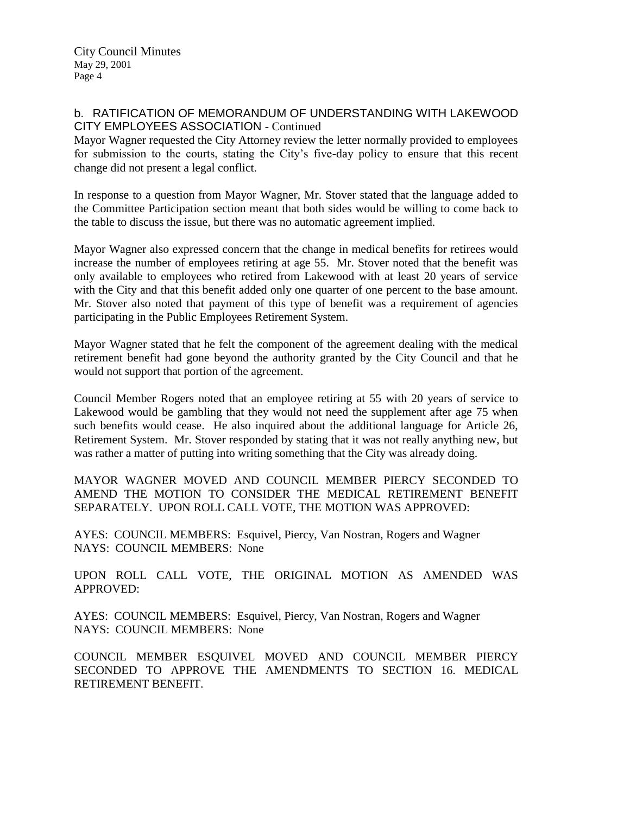City Council Minutes May 29, 2001 Page 4

#### b. RATIFICATION OF MEMORANDUM OF UNDERSTANDING WITH LAKEWOOD CITY EMPLOYEES ASSOCIATION - Continued

Mayor Wagner requested the City Attorney review the letter normally provided to employees for submission to the courts, stating the City's five-day policy to ensure that this recent change did not present a legal conflict.

In response to a question from Mayor Wagner, Mr. Stover stated that the language added to the Committee Participation section meant that both sides would be willing to come back to the table to discuss the issue, but there was no automatic agreement implied.

Mayor Wagner also expressed concern that the change in medical benefits for retirees would increase the number of employees retiring at age 55. Mr. Stover noted that the benefit was only available to employees who retired from Lakewood with at least 20 years of service with the City and that this benefit added only one quarter of one percent to the base amount. Mr. Stover also noted that payment of this type of benefit was a requirement of agencies participating in the Public Employees Retirement System.

Mayor Wagner stated that he felt the component of the agreement dealing with the medical retirement benefit had gone beyond the authority granted by the City Council and that he would not support that portion of the agreement.

Council Member Rogers noted that an employee retiring at 55 with 20 years of service to Lakewood would be gambling that they would not need the supplement after age 75 when such benefits would cease. He also inquired about the additional language for Article 26, Retirement System. Mr. Stover responded by stating that it was not really anything new, but was rather a matter of putting into writing something that the City was already doing.

MAYOR WAGNER MOVED AND COUNCIL MEMBER PIERCY SECONDED TO AMEND THE MOTION TO CONSIDER THE MEDICAL RETIREMENT BENEFIT SEPARATELY. UPON ROLL CALL VOTE, THE MOTION WAS APPROVED:

AYES: COUNCIL MEMBERS: Esquivel, Piercy, Van Nostran, Rogers and Wagner NAYS: COUNCIL MEMBERS: None

UPON ROLL CALL VOTE, THE ORIGINAL MOTION AS AMENDED WAS APPROVED:

AYES: COUNCIL MEMBERS: Esquivel, Piercy, Van Nostran, Rogers and Wagner NAYS: COUNCIL MEMBERS: None

COUNCIL MEMBER ESQUIVEL MOVED AND COUNCIL MEMBER PIERCY SECONDED TO APPROVE THE AMENDMENTS TO SECTION 16. MEDICAL RETIREMENT BENEFIT.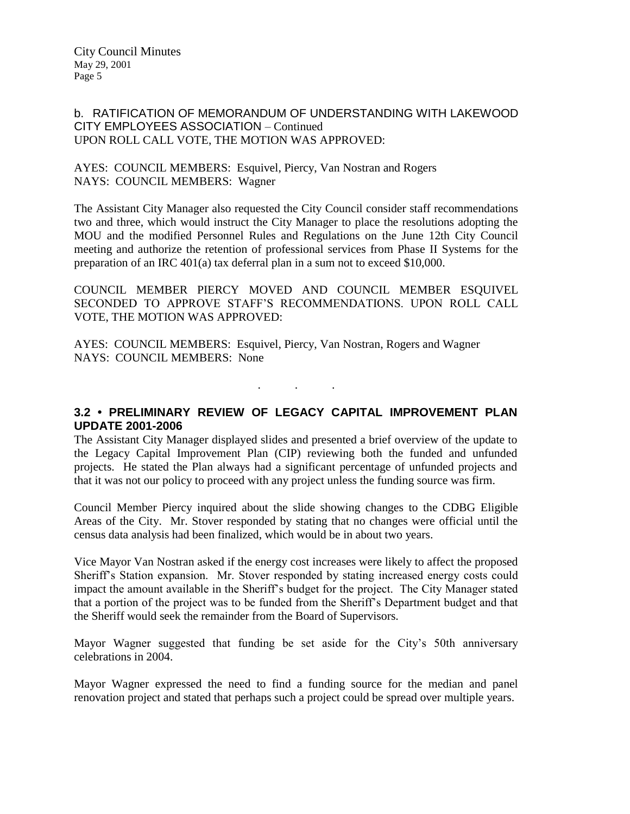#### b. RATIFICATION OF MEMORANDUM OF UNDERSTANDING WITH LAKEWOOD CITY EMPLOYEES ASSOCIATION – Continued UPON ROLL CALL VOTE, THE MOTION WAS APPROVED:

#### AYES: COUNCIL MEMBERS: Esquivel, Piercy, Van Nostran and Rogers NAYS: COUNCIL MEMBERS: Wagner

The Assistant City Manager also requested the City Council consider staff recommendations two and three, which would instruct the City Manager to place the resolutions adopting the MOU and the modified Personnel Rules and Regulations on the June 12th City Council meeting and authorize the retention of professional services from Phase II Systems for the preparation of an IRC 401(a) tax deferral plan in a sum not to exceed \$10,000.

COUNCIL MEMBER PIERCY MOVED AND COUNCIL MEMBER ESQUIVEL SECONDED TO APPROVE STAFF'S RECOMMENDATIONS. UPON ROLL CALL VOTE, THE MOTION WAS APPROVED:

AYES: COUNCIL MEMBERS: Esquivel, Piercy, Van Nostran, Rogers and Wagner NAYS: COUNCIL MEMBERS: None

. . .

## **3.2 • PRELIMINARY REVIEW OF LEGACY CAPITAL IMPROVEMENT PLAN UPDATE 2001-2006**

The Assistant City Manager displayed slides and presented a brief overview of the update to the Legacy Capital Improvement Plan (CIP) reviewing both the funded and unfunded projects. He stated the Plan always had a significant percentage of unfunded projects and that it was not our policy to proceed with any project unless the funding source was firm.

Council Member Piercy inquired about the slide showing changes to the CDBG Eligible Areas of the City. Mr. Stover responded by stating that no changes were official until the census data analysis had been finalized, which would be in about two years.

Vice Mayor Van Nostran asked if the energy cost increases were likely to affect the proposed Sheriff's Station expansion. Mr. Stover responded by stating increased energy costs could impact the amount available in the Sheriff's budget for the project. The City Manager stated that a portion of the project was to be funded from the Sheriff's Department budget and that the Sheriff would seek the remainder from the Board of Supervisors.

Mayor Wagner suggested that funding be set aside for the City's 50th anniversary celebrations in 2004.

Mayor Wagner expressed the need to find a funding source for the median and panel renovation project and stated that perhaps such a project could be spread over multiple years.